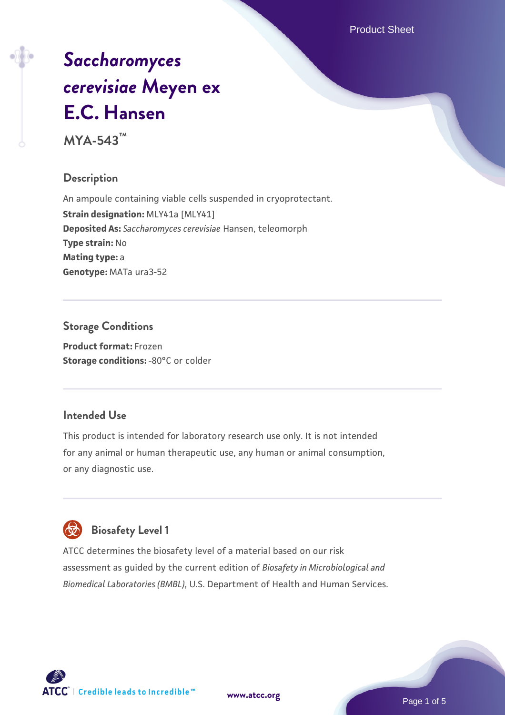Product Sheet

# *[Saccharomyces](https://www.atcc.org/products/mya-543) [cerevisiae](https://www.atcc.org/products/mya-543)* **[Meyen ex](https://www.atcc.org/products/mya-543) [E.C. Hansen](https://www.atcc.org/products/mya-543)**

**MYA-543™**

#### **Description**

An ampoule containing viable cells suspended in cryoprotectant. **Strain designation: MLY41a [MLY41] Deposited As:** *Saccharomyces cerevisiae* Hansen, teleomorph **Type strain:** No **Mating type:** a **Genotype:** MATa ura3-52

## **Storage Conditions**

**Product format:** Frozen **Storage conditions: -80°C or colder** 

#### **Intended Use**

This product is intended for laboratory research use only. It is not intended for any animal or human therapeutic use, any human or animal consumption, or any diagnostic use.

# **Biosafety Level 1**

ATCC determines the biosafety level of a material based on our risk assessment as guided by the current edition of *Biosafety in Microbiological and Biomedical Laboratories (BMBL)*, U.S. Department of Health and Human Services.

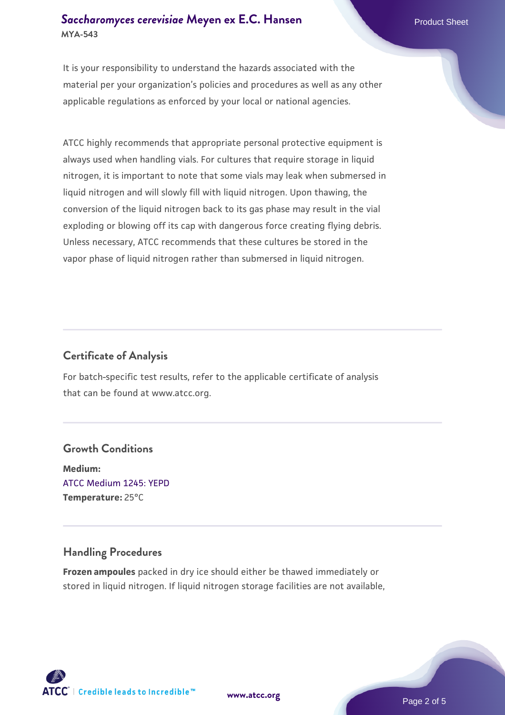#### **[Saccharomyces cerevisiae](https://www.atcc.org/products/mya-543)** [Meyen ex E.C. Hansen](https://www.atcc.org/products/mya-543) **MYA-543**

It is your responsibility to understand the hazards associated with the material per your organization's policies and procedures as well as any other applicable regulations as enforced by your local or national agencies.

ATCC highly recommends that appropriate personal protective equipment is always used when handling vials. For cultures that require storage in liquid nitrogen, it is important to note that some vials may leak when submersed in liquid nitrogen and will slowly fill with liquid nitrogen. Upon thawing, the conversion of the liquid nitrogen back to its gas phase may result in the vial exploding or blowing off its cap with dangerous force creating flying debris. Unless necessary, ATCC recommends that these cultures be stored in the vapor phase of liquid nitrogen rather than submersed in liquid nitrogen.

#### **Certificate of Analysis**

For batch-specific test results, refer to the applicable certificate of analysis that can be found at www.atcc.org.

#### **Growth Conditions**

**Medium:**  [ATCC Medium 1245: YEPD](https://www.atcc.org/-/media/product-assets/documents/microbial-media-formulations/1/2/4/5/atcc-medium-1245.pdf?rev=705ca55d1b6f490a808a965d5c072196) **Temperature:** 25°C

#### **Handling Procedures**

**Frozen ampoules** packed in dry ice should either be thawed immediately or stored in liquid nitrogen. If liquid nitrogen storage facilities are not available,

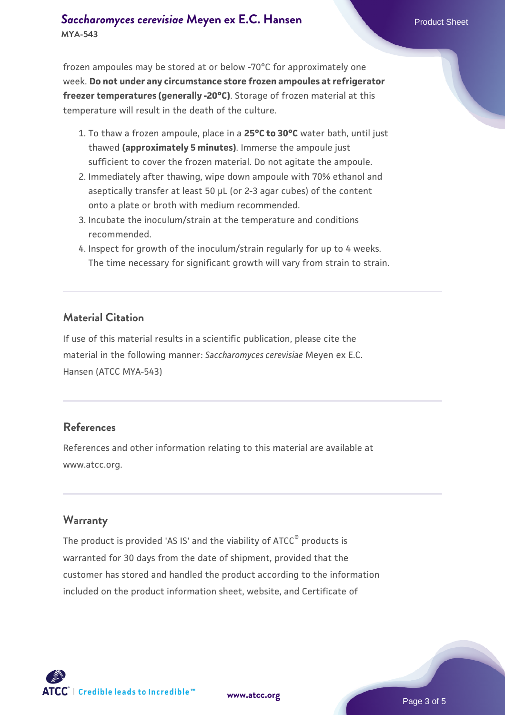#### **[Saccharomyces cerevisiae](https://www.atcc.org/products/mya-543)** [Meyen ex E.C. Hansen](https://www.atcc.org/products/mya-543) **MYA-543**

frozen ampoules may be stored at or below -70°C for approximately one week. **Do not under any circumstance store frozen ampoules at refrigerator freezer temperatures (generally -20°C)**. Storage of frozen material at this temperature will result in the death of the culture.

- 1. To thaw a frozen ampoule, place in a **25°C to 30°C** water bath, until just thawed **(approximately 5 minutes)**. Immerse the ampoule just sufficient to cover the frozen material. Do not agitate the ampoule.
- 2. Immediately after thawing, wipe down ampoule with 70% ethanol and aseptically transfer at least 50 µL (or 2-3 agar cubes) of the content onto a plate or broth with medium recommended.
- 3. Incubate the inoculum/strain at the temperature and conditions recommended.
- 4. Inspect for growth of the inoculum/strain regularly for up to 4 weeks. The time necessary for significant growth will vary from strain to strain.

#### **Material Citation**

If use of this material results in a scientific publication, please cite the material in the following manner: *Saccharomyces cerevisiae* Meyen ex E.C. Hansen (ATCC MYA-543)

#### **References**

References and other information relating to this material are available at www.atcc.org.

#### **Warranty**

The product is provided 'AS IS' and the viability of ATCC® products is warranted for 30 days from the date of shipment, provided that the customer has stored and handled the product according to the information included on the product information sheet, website, and Certificate of

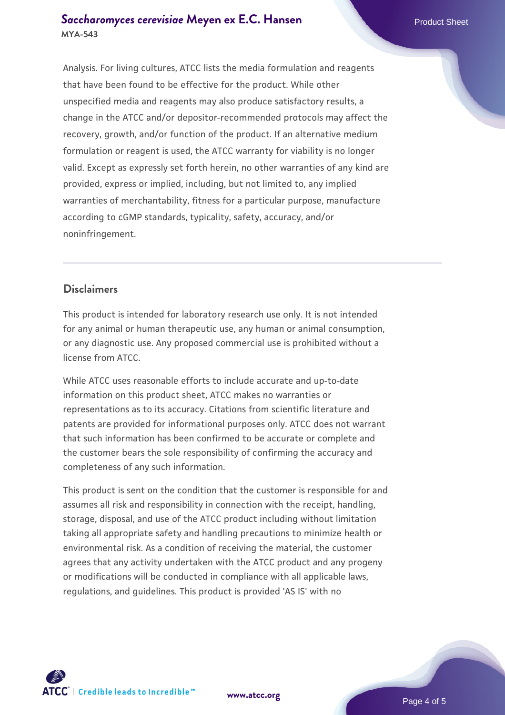#### **[Saccharomyces cerevisiae](https://www.atcc.org/products/mya-543)** [Meyen ex E.C. Hansen](https://www.atcc.org/products/mya-543) **MYA-543**

Analysis. For living cultures, ATCC lists the media formulation and reagents that have been found to be effective for the product. While other unspecified media and reagents may also produce satisfactory results, a change in the ATCC and/or depositor-recommended protocols may affect the recovery, growth, and/or function of the product. If an alternative medium formulation or reagent is used, the ATCC warranty for viability is no longer valid. Except as expressly set forth herein, no other warranties of any kind are provided, express or implied, including, but not limited to, any implied warranties of merchantability, fitness for a particular purpose, manufacture according to cGMP standards, typicality, safety, accuracy, and/or noninfringement.

#### **Disclaimers**

This product is intended for laboratory research use only. It is not intended for any animal or human therapeutic use, any human or animal consumption, or any diagnostic use. Any proposed commercial use is prohibited without a license from ATCC.

While ATCC uses reasonable efforts to include accurate and up-to-date information on this product sheet, ATCC makes no warranties or representations as to its accuracy. Citations from scientific literature and patents are provided for informational purposes only. ATCC does not warrant that such information has been confirmed to be accurate or complete and the customer bears the sole responsibility of confirming the accuracy and completeness of any such information.

This product is sent on the condition that the customer is responsible for and assumes all risk and responsibility in connection with the receipt, handling, storage, disposal, and use of the ATCC product including without limitation taking all appropriate safety and handling precautions to minimize health or environmental risk. As a condition of receiving the material, the customer agrees that any activity undertaken with the ATCC product and any progeny or modifications will be conducted in compliance with all applicable laws, regulations, and guidelines. This product is provided 'AS IS' with no



**[www.atcc.org](http://www.atcc.org)**

Page 4 of 5